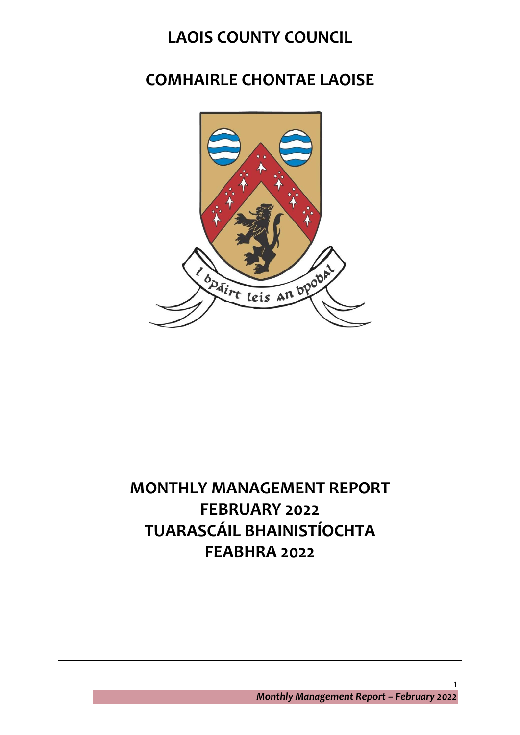# **LAOIS COUNTY COUNCIL**

# **COMHAIRLE CHONTAE LAOISE**



# **MONTHLY MANAGEMENT REPORT FEBRUARY 2022 TUARASCÁIL BHAINISTÍOCHTA FEABHRA 2022**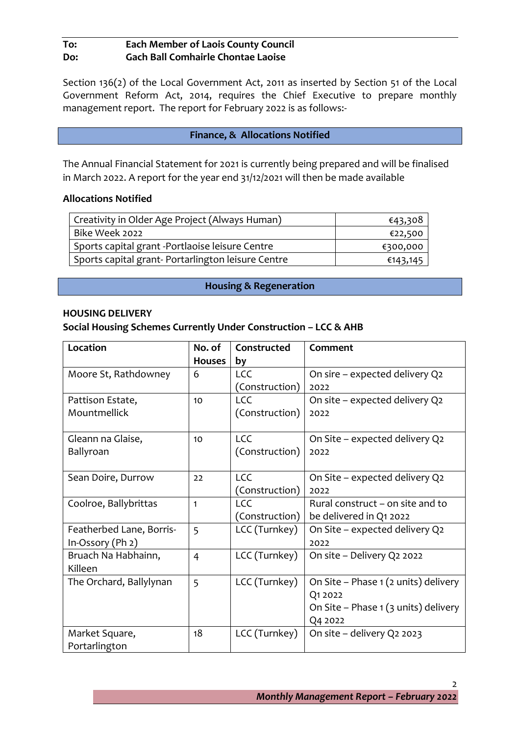# **To: Each Member of Laois County Council Do: Gach Ball Comhairle Chontae Laoise**

Section 136(2) of the Local Government Act, 2011 as inserted by Section 51 of the Local Government Reform Act, 2014, requires the Chief Executive to prepare monthly management report. The report for February 2022 is as follows:-

#### **Finance, & Allocations Notified**

The Annual Financial Statement for 2021 is currently being prepared and will be finalised in March 2022. A report for the year end 31/12/2021 will then be made available

#### **Allocations Notified**

| Creativity in Older Age Project (Always Human)    | €43,308  |
|---------------------------------------------------|----------|
| Bike Week 2022                                    | €22,500  |
| Sports capital grant -Portlaoise leisure Centre   | €300,000 |
| Sports capital grant-Portarlington leisure Centre | €143,145 |

#### **Housing & Regeneration**

#### **HOUSING DELIVERY**

#### **Social Housing Schemes Currently Under Construction – LCC & AHB**

| Location                 | No. of         | Constructed    | Comment                              |
|--------------------------|----------------|----------------|--------------------------------------|
|                          | <b>Houses</b>  | by             |                                      |
| Moore St, Rathdowney     | 6              | <b>LCC</b>     | On sire - expected delivery Q2       |
|                          |                | (Construction) | 2022                                 |
| Pattison Estate,         | 10             | <b>LCC</b>     | On site - expected delivery Q2       |
| Mountmellick             |                | (Construction) | 2022                                 |
| Gleann na Glaise,        | 10             | <b>LCC</b>     | On Site - expected delivery Q2       |
| Ballyroan                |                | (Construction) | 2022                                 |
| Sean Doire, Durrow       | 22             | <b>LCC</b>     | On Site - expected delivery Q2       |
|                          |                | (Construction) | 2022                                 |
| Coolroe, Ballybrittas    | $\mathbf{1}$   | <b>LCC</b>     | Rural construct – on site and to     |
|                          |                | (Construction) | be delivered in Q1 2022              |
| Featherbed Lane, Borris- | 5              | LCC (Turnkey)  | On Site - expected delivery Q2       |
| $In-Ossory (Ph 2)$       |                |                | 2022                                 |
| Bruach Na Habhainn,      | $\overline{4}$ | LCC (Turnkey)  | On site - Delivery Q2 2022           |
| Killeen                  |                |                |                                      |
| The Orchard, Ballylynan  | 5              | LCC (Turnkey)  | On Site - Phase 1 (2 units) delivery |
|                          |                |                | Q1 2022                              |
|                          |                |                | On Site - Phase 1 (3 units) delivery |
|                          |                |                | Q4 2022                              |
| Market Square,           | 18             | LCC (Turnkey)  | On site - delivery Q2 2023           |
| Portarlington            |                |                |                                      |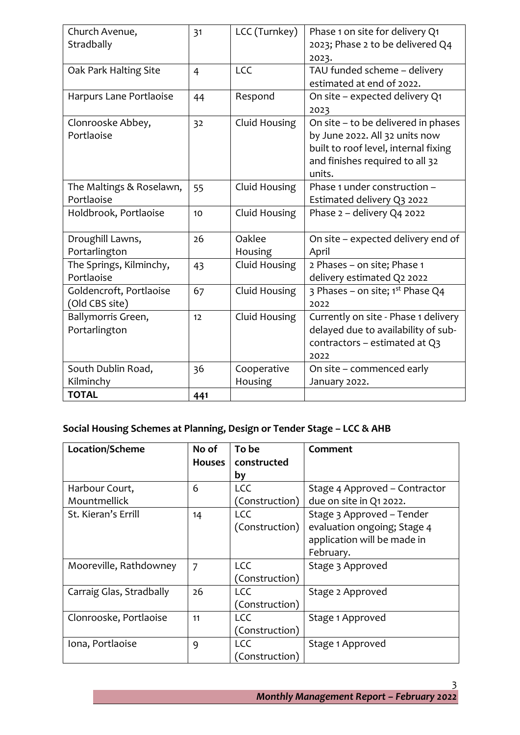| Church Avenue,<br>Stradbally              | 31             | LCC (Turnkey)          | Phase 1 on site for delivery Q1<br>2023; Phase 2 to be delivered Q4                                                                                        |
|-------------------------------------------|----------------|------------------------|------------------------------------------------------------------------------------------------------------------------------------------------------------|
| Oak Park Halting Site                     | $\overline{4}$ | LCC                    | 2023.<br>TAU funded scheme - delivery<br>estimated at end of 2022.                                                                                         |
| Harpurs Lane Portlaoise                   | 44             | Respond                | On site - expected delivery Q1<br>2023                                                                                                                     |
| Clonrooske Abbey,<br>Portlaoise           | 32             | Cluid Housing          | On site - to be delivered in phases<br>by June 2022. All 32 units now<br>built to roof level, internal fixing<br>and finishes required to all 32<br>units. |
| The Maltings & Roselawn,<br>Portlaoise    | 55             | Cluid Housing          | Phase 1 under construction -<br>Estimated delivery Q3 2022                                                                                                 |
| Holdbrook, Portlaoise                     | 10             | Cluid Housing          | Phase 2 - delivery Q4 2022                                                                                                                                 |
| Droughill Lawns,<br>Portarlington         | 26             | Oaklee<br>Housing      | On site - expected delivery end of<br>April                                                                                                                |
| The Springs, Kilminchy,<br>Portlaoise     | 43             | Cluid Housing          | 2 Phases - on site; Phase 1<br>delivery estimated Q2 2022                                                                                                  |
| Goldencroft, Portlaoise<br>(Old CBS site) | 67             | Cluid Housing          | 3 Phases – on site; $1^{st}$ Phase Q4<br>2022                                                                                                              |
| Ballymorris Green,<br>Portarlington       | 12             | Cluid Housing          | Currently on site - Phase 1 delivery<br>delayed due to availability of sub-<br>contractors - estimated at Q3<br>2022                                       |
| South Dublin Road,<br>Kilminchy           | 36             | Cooperative<br>Housing | On site – commenced early<br>January 2022.                                                                                                                 |
| <b>TOTAL</b>                              | 441            |                        |                                                                                                                                                            |

# **Social Housing Schemes at Planning, Design or Tender Stage – LCC & AHB**

| Location/Scheme          | No of         | To be          | Comment                       |
|--------------------------|---------------|----------------|-------------------------------|
|                          | <b>Houses</b> | constructed    |                               |
|                          |               | by             |                               |
| Harbour Court,           | 6             | <b>LCC</b>     | Stage 4 Approved - Contractor |
| Mountmellick             |               | (Construction) | due on site in Q1 2022.       |
| St. Kieran's Errill      | 14            | <b>LCC</b>     | Stage 3 Approved - Tender     |
|                          |               | (Construction) | evaluation ongoing; Stage 4   |
|                          |               |                | application will be made in   |
|                          |               |                | February.                     |
| Mooreville, Rathdowney   | 7             | <b>LCC</b>     | Stage 3 Approved              |
|                          |               | (Construction) |                               |
| Carraig Glas, Stradbally | 26            | <b>LCC</b>     | Stage 2 Approved              |
|                          |               | (Construction) |                               |
| Clonrooske, Portlaoise   | 11            | <b>LCC</b>     | Stage 1 Approved              |
|                          |               | (Construction) |                               |
| Iona, Portlaoise         | 9             | <b>LCC</b>     | Stage 1 Approved              |
|                          |               | (Construction) |                               |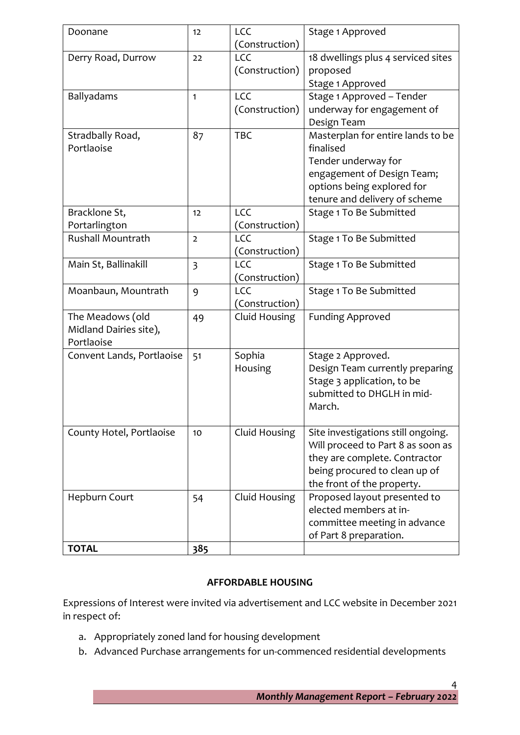| Doonane                   | 12                      | <b>LCC</b>                   | Stage 1 Approved                                       |
|---------------------------|-------------------------|------------------------------|--------------------------------------------------------|
|                           |                         | (Construction)<br><b>LCC</b> |                                                        |
| Derry Road, Durrow        | 22                      |                              | 18 dwellings plus 4 serviced sites                     |
|                           |                         | (Construction)               | proposed                                               |
|                           |                         | <b>LCC</b>                   | Stage 1 Approved<br>Stage 1 Approved - Tender          |
| Ballyadams                | 1                       | (Construction)               | underway for engagement of                             |
|                           |                         |                              | Design Team                                            |
| Stradbally Road,          | 87                      | <b>TBC</b>                   | Masterplan for entire lands to be                      |
| Portlaoise                |                         |                              | finalised                                              |
|                           |                         |                              | Tender underway for                                    |
|                           |                         |                              | engagement of Design Team;                             |
|                           |                         |                              | options being explored for                             |
|                           |                         |                              | tenure and delivery of scheme                          |
| Bracklone St,             | 12                      | <b>LCC</b>                   | Stage 1 To Be Submitted                                |
| Portarlington             |                         | (Construction)               |                                                        |
| <b>Rushall Mountrath</b>  | $\overline{2}$          | <b>LCC</b>                   | Stage 1 To Be Submitted                                |
|                           |                         | (Construction)               |                                                        |
| Main St, Ballinakill      | $\overline{\mathbf{3}}$ | <b>LCC</b>                   | Stage 1 To Be Submitted                                |
|                           |                         | (Construction)               |                                                        |
| Moanbaun, Mountrath       | 9                       | <b>LCC</b>                   | Stage 1 To Be Submitted                                |
|                           |                         | (Construction)               |                                                        |
| The Meadows (old          | 49                      | Cluid Housing                | <b>Funding Approved</b>                                |
| Midland Dairies site),    |                         |                              |                                                        |
| Portlaoise                |                         |                              |                                                        |
| Convent Lands, Portlaoise | 51                      | Sophia                       | Stage 2 Approved.                                      |
|                           |                         | Housing                      | Design Team currently preparing                        |
|                           |                         |                              | Stage 3 application, to be                             |
|                           |                         |                              | submitted to DHGLH in mid-                             |
|                           |                         |                              | March.                                                 |
|                           |                         |                              |                                                        |
| County Hotel, Portlaoise  | 10                      | Cluid Housing                | Site investigations still ongoing.                     |
|                           |                         |                              | Will proceed to Part 8 as soon as                      |
|                           |                         |                              | they are complete. Contractor                          |
|                           |                         |                              | being procured to clean up of                          |
|                           |                         |                              | the front of the property.                             |
| Hepburn Court             | 54                      | Cluid Housing                | Proposed layout presented to<br>elected members at in- |
|                           |                         |                              | committee meeting in advance                           |
|                           |                         |                              | of Part 8 preparation.                                 |
| <b>TOTAL</b>              | 385                     |                              |                                                        |
|                           |                         |                              |                                                        |

#### **AFFORDABLE HOUSING**

Expressions of Interest were invited via advertisement and LCC website in December 2021 in respect of:

- a. Appropriately zoned land for housing development
- b. Advanced Purchase arrangements for un-commenced residential developments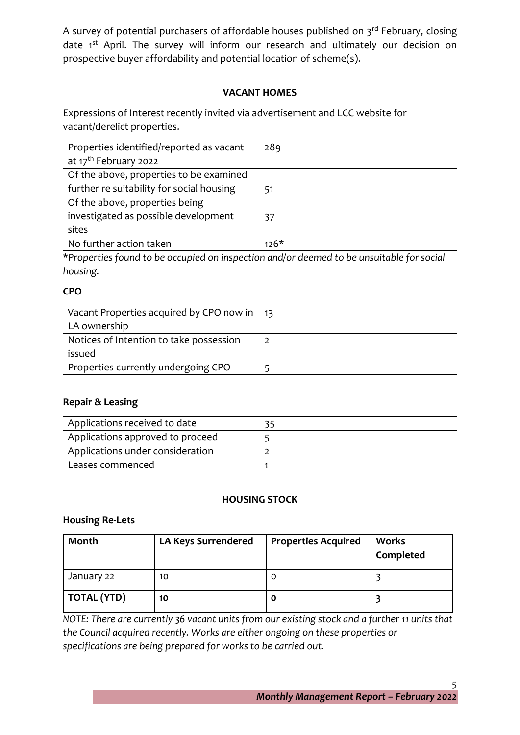A survey of potential purchasers of affordable houses published on  $3<sup>rd</sup>$  February, closing date 1<sup>st</sup> April. The survey will inform our research and ultimately our decision on prospective buyer affordability and potential location of scheme(s).

# **VACANT HOMES**

Expressions of Interest recently invited via advertisement and LCC website for vacant/derelict properties.

| Properties identified/reported as vacant  | 289    |
|-------------------------------------------|--------|
| at 17 <sup>th</sup> February 2022         |        |
| Of the above, properties to be examined   |        |
| further re suitability for social housing | -51    |
| Of the above, properties being            |        |
| investigated as possible development      | 37     |
| sites                                     |        |
| No further action taken                   | $126*$ |

**\****Properties found to be occupied on inspection and/or deemed to be unsuitable for social housing.*

# **CPO**

| Vacant Properties acquired by CPO now in $\vert$ 13 |  |
|-----------------------------------------------------|--|
| LA ownership                                        |  |
| Notices of Intention to take possession             |  |
| issued                                              |  |
| Properties currently undergoing CPO                 |  |

# **Repair & Leasing**

| Applications received to date    |  |
|----------------------------------|--|
| Applications approved to proceed |  |
| Applications under consideration |  |
| Leases commenced                 |  |

#### **HOUSING STOCK**

#### **Housing Re-Lets**

| Month              | <b>LA Keys Surrendered</b> | <b>Properties Acquired</b> | <b>Works</b><br>Completed |
|--------------------|----------------------------|----------------------------|---------------------------|
| January 22         | 10                         | 0                          |                           |
| <b>TOTAL (YTD)</b> | 10                         | 0                          |                           |

*NOTE: There are currently 36 vacant units from our existing stock and a further 11 units that the Council acquired recently. Works are either ongoing on these properties or specifications are being prepared for works to be carried out.*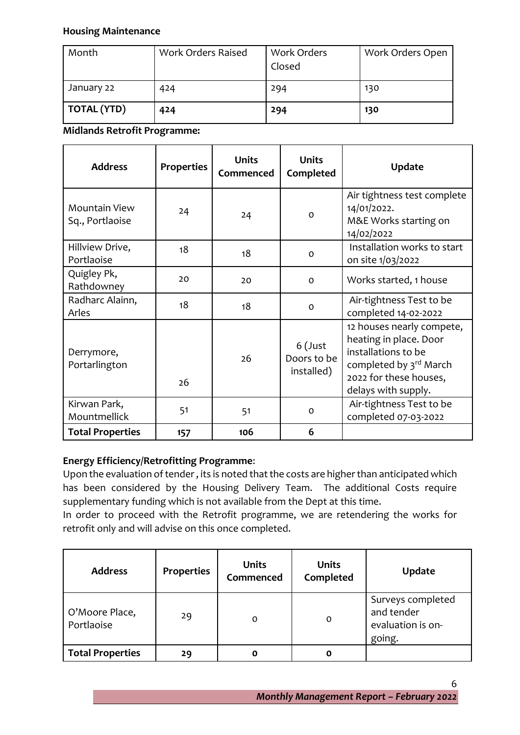#### **Housing Maintenance**

| Month              | Work Orders Raised | <b>Work Orders</b><br>Closed | Work Orders Open |
|--------------------|--------------------|------------------------------|------------------|
| January 22         | 424                | 294                          | 130              |
| <b>TOTAL (YTD)</b> | 424                | 294                          | 130              |

**Midlands Retrofit Programme:**

| <b>Address</b>                   | <b>Properties</b> | <b>Units</b><br>Commenced | <b>Units</b><br>Completed            | <b>Update</b>                                                                                                                                         |
|----------------------------------|-------------------|---------------------------|--------------------------------------|-------------------------------------------------------------------------------------------------------------------------------------------------------|
| Mountain View<br>Sq., Portlaoise | 24                | 24                        | $\Omega$                             | Air tightness test complete<br>14/01/2022.<br>M&E Works starting on<br>14/02/2022                                                                     |
| Hillview Drive,<br>Portlaoise    | 18                | 18                        | $\Omega$                             | Installation works to start<br>on site 1/03/2022                                                                                                      |
| Quigley Pk,<br>Rathdowney        | 20                | 20                        | $\Omega$                             | Works started, 1 house                                                                                                                                |
| Radharc Alainn,<br>Arles         | 18                | 18                        | $\mathbf O$                          | Air-tightness Test to be<br>completed 14-02-2022                                                                                                      |
| Derrymore,<br>Portarlington      | 26                | 26                        | 6 (Just<br>Doors to be<br>installed) | 12 houses nearly compete,<br>heating in place. Door<br>installations to be<br>completed by 3rd March<br>2022 for these houses,<br>delays with supply. |
| Kirwan Park,<br>Mountmellick     | 51                | 51                        | 0                                    | Air-tightness Test to be<br>completed 07-03-2022                                                                                                      |
| <b>Total Properties</b>          | 157               | 106                       | 6                                    |                                                                                                                                                       |

# **Energy Efficiency/Retrofitting Programme**:

Upon the evaluation of tender , its is noted that the costs are higher than anticipated which has been considered by the Housing Delivery Team. The additional Costs require supplementary funding which is not available from the Dept at this time.

In order to proceed with the Retrofit programme, we are retendering the works for retrofit only and will advise on this once completed.

| <b>Address</b>               | <b>Properties</b> | <b>Units</b><br>Commenced | <b>Units</b><br>Completed | <b>Update</b>                                                  |
|------------------------------|-------------------|---------------------------|---------------------------|----------------------------------------------------------------|
| O'Moore Place,<br>Portlaoise | 29                | O                         | O                         | Surveys completed<br>and tender<br>evaluation is on-<br>going. |
| <b>Total Properties</b>      | 29                | O                         | Ο                         |                                                                |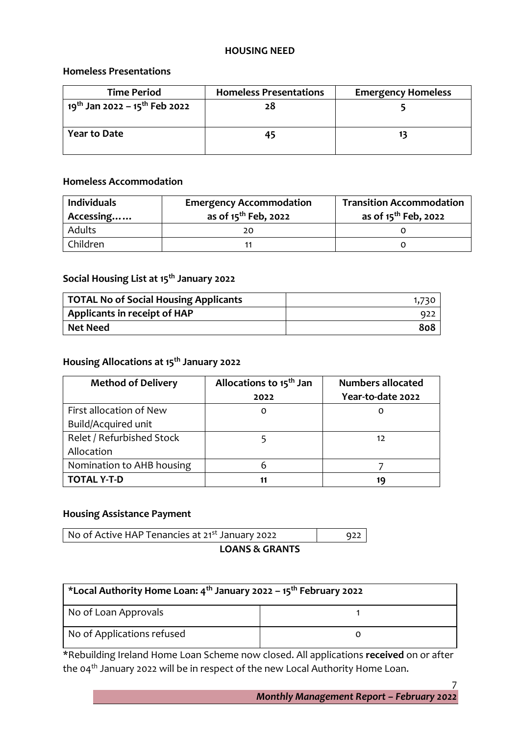#### **HOUSING NEED**

#### **Homeless Presentations**

| <b>Time Period</b>                                    | <b>Homeless Presentations</b> | <b>Emergency Homeless</b> |
|-------------------------------------------------------|-------------------------------|---------------------------|
| 19 <sup>th</sup> Jan 2022 – 15 <sup>th</sup> Feb 2022 | 28                            |                           |
| <b>Year to Date</b>                                   | 45                            |                           |

#### **Homeless Accommodation**

| <b>Individuals</b><br>Accessing | <b>Emergency Accommodation</b><br>as of 15 <sup>th</sup> Feb, 2022 | <b>Transition Accommodation</b><br>as of 15 <sup>th</sup> Feb, 2022 |  |
|---------------------------------|--------------------------------------------------------------------|---------------------------------------------------------------------|--|
| <b>Adults</b>                   |                                                                    |                                                                     |  |
| Children                        |                                                                    |                                                                     |  |

# **Social Housing List at 15th January 2022**

| TOTAL No of Social Housing Applicants |      |
|---------------------------------------|------|
| Applicants in receipt of HAP          | -922 |
| Net Need                              | 808  |

# **Housing Allocations at 15th January 2022**

| <b>Method of Delivery</b> | Allocations to 15 <sup>th</sup> Jan | <b>Numbers allocated</b> |
|---------------------------|-------------------------------------|--------------------------|
|                           | 2022                                | Year-to-date 2022        |
| First allocation of New   | $\Omega$                            | O                        |
| Build/Acquired unit       |                                     |                          |
| Relet / Refurbished Stock |                                     | 12                       |
| Allocation                |                                     |                          |
| Nomination to AHB housing | 6                                   |                          |
| <b>TOTAL Y-T-D</b>        | 11                                  | 19                       |

# **Housing Assistance Payment**

| No of Active HAP Tenancies at 21 <sup>st</sup> January 2022 |  |
|-------------------------------------------------------------|--|
| <b>LOANS &amp; GRANTS</b>                                   |  |

| *Local Authority Home Loan: 4 <sup>th</sup> January 2022 - 15 <sup>th</sup> February 2022 |  |  |  |
|-------------------------------------------------------------------------------------------|--|--|--|
| No of Loan Approvals                                                                      |  |  |  |
| No of Applications refused                                                                |  |  |  |

\*Rebuilding Ireland Home Loan Scheme now closed. All applications **received** on or after the 04th January 2022 will be in respect of the new Local Authority Home Loan.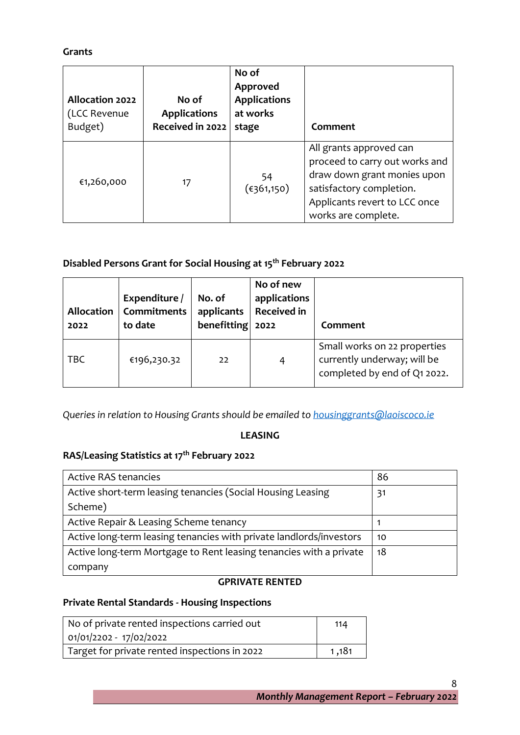# **Grants**

| <b>Allocation 2022</b><br>(LCC Revenue<br>Budget) | No of<br><b>Applications</b><br>Received in 2022 | No of<br>Approved<br><b>Applications</b><br>at works<br>stage | Comment                                                                                                                                                                      |
|---------------------------------------------------|--------------------------------------------------|---------------------------------------------------------------|------------------------------------------------------------------------------------------------------------------------------------------------------------------------------|
| €1,260,000                                        | 17                                               | 54<br>(€361,150)                                              | All grants approved can<br>proceed to carry out works and<br>draw down grant monies upon<br>satisfactory completion.<br>Applicants revert to LCC once<br>works are complete. |

# **Disabled Persons Grant for Social Housing at 15th February 2022**

| <b>Allocation</b><br>2022 | Expenditure /<br><b>Commitments</b><br>to date | No. of<br>applicants<br>benefitting $2022$ | No of new<br>applications<br><b>Received in</b> | Comment                                                                                     |
|---------------------------|------------------------------------------------|--------------------------------------------|-------------------------------------------------|---------------------------------------------------------------------------------------------|
| <b>TBC</b>                | €196,230.32                                    | 22                                         | 4                                               | Small works on 22 properties<br>currently underway; will be<br>completed by end of Q1 2022. |

*Queries in relation to Housing Grants should be emailed t[o housinggrants@laoiscoco.ie](mailto:housinggrants@laoiscoco.ie)*

#### **LEASING**

# **RAS/Leasing Statistics at 17th February 2022**

| <b>Active RAS tenancies</b>                                         | 86 |
|---------------------------------------------------------------------|----|
| Active short-term leasing tenancies (Social Housing Leasing         | 31 |
| Scheme)                                                             |    |
| Active Repair & Leasing Scheme tenancy                              |    |
| Active long-term leasing tenancies with private landlords/investors | 10 |
| Active long-term Mortgage to Rent leasing tenancies with a private  | 18 |
| company                                                             |    |

# **GPRIVATE RENTED**

# **Private Rental Standards - Housing Inspections**

| No of private rented inspections carried out  | 114   |
|-----------------------------------------------|-------|
| 01/01/2202 - 17/02/2022                       |       |
| Target for private rented inspections in 2022 | 1.181 |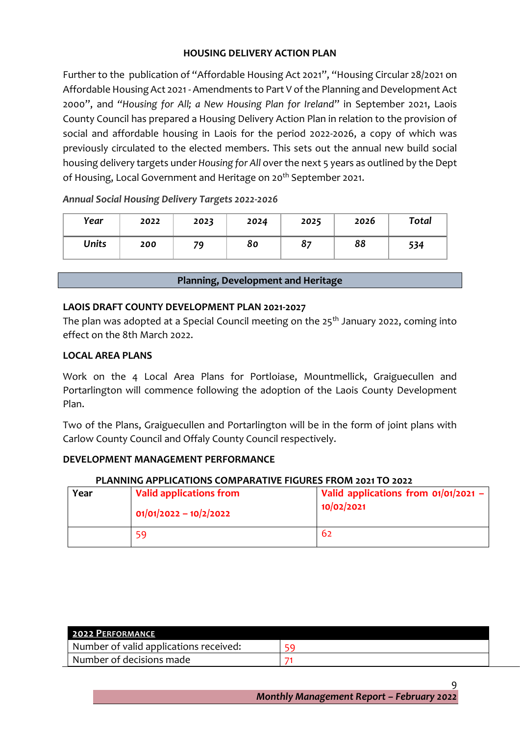# **HOUSING DELIVERY ACTION PLAN**

Further to the publication of "Affordable Housing Act 2021", "Housing Circular 28/2021 on Affordable Housing Act 2021 - Amendments to Part V of the Planning and Development Act 2000", and *"Housing for All; a New Housing Plan for Ireland*" in September 2021, Laois County Council has prepared a Housing Delivery Action Plan in relation to the provision of social and affordable housing in Laois for the period 2022-2026, a copy of which was previously circulated to the elected members. This sets out the annual new build social housing delivery targets under *Housing for All* over the next 5 years as outlined by the Dept of Housing, Local Government and Heritage on 20<sup>th</sup> September 2021.

| Year         | 2022 | 2023 | 2024 | 2025 | 2026 | Total |
|--------------|------|------|------|------|------|-------|
| <b>Units</b> | 200  | 79   | 80   | 87   | 88   | 534   |

#### *Annual Social Housing Delivery Targets 2022-2026*

#### **Planning, Development and Heritage**

#### **LAOIS DRAFT COUNTY DEVELOPMENT PLAN 2021-2027**

The plan was adopted at a Special Council meeting on the  $25<sup>th</sup>$  January 2022, coming into effect on the 8th March 2022.

#### **LOCAL AREA PLANS**

Work on the 4 Local Area Plans for Portloiase, Mountmellick, Graiguecullen and Portarlington will commence following the adoption of the Laois County Development Plan.

Two of the Plans, Graiguecullen and Portarlington will be in the form of joint plans with Carlow County Council and Offaly County Council respectively.

#### **DEVELOPMENT MANAGEMENT PERFORMANCE**

# **PLANNING APPLICATIONS COMPARATIVE FIGURES FROM 2021 TO 2022**

| Year | Valid applications from<br>$01/01/2022 - 10/2/2022$ | Valid applications from $01/01/2021$ –<br>10/02/2021 |
|------|-----------------------------------------------------|------------------------------------------------------|
|      | 59                                                  | 62                                                   |

| 2022 PERFORMANCE                       |  |
|----------------------------------------|--|
| Number of valid applications received: |  |
| Number of decisions made               |  |

*Monthly Management Report – February 2022*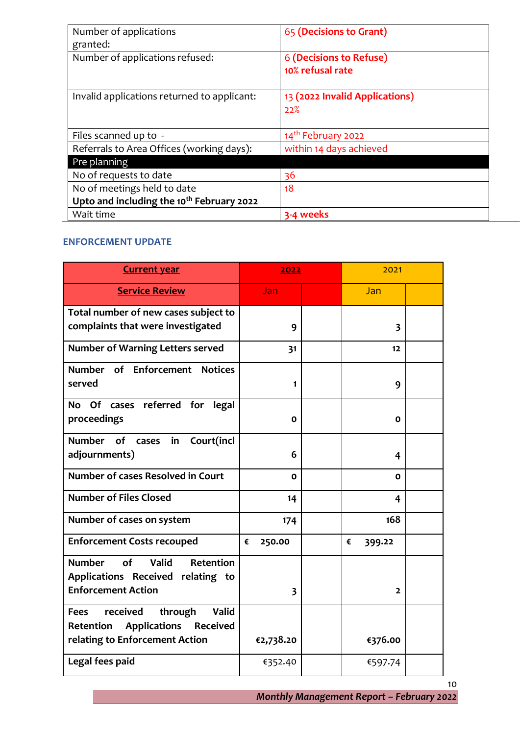| Number of applications<br>granted:                    | 65 (Decisions to Grant)                     |
|-------------------------------------------------------|---------------------------------------------|
| Number of applications refused:                       | 6 (Decisions to Refuse)<br>10% refusal rate |
| Invalid applications returned to applicant:           | 13 (2022 Invalid Applications)<br>22%       |
| Files scanned up to -                                 | 14 <sup>th</sup> February 2022              |
| Referrals to Area Offices (working days):             | within 14 days achieved                     |
| Pre planning                                          |                                             |
| No of requests to date                                | 36                                          |
| No of meetings held to date                           | 18                                          |
| Upto and including the 10 <sup>th</sup> February 2022 |                                             |
| Wait time                                             | 3-4 weeks                                   |

#### **ENFORCEMENT UPDATE**

| <b>Current year</b>                                                                                                                         | 2022                    | 2021                    |  |
|---------------------------------------------------------------------------------------------------------------------------------------------|-------------------------|-------------------------|--|
| <b>Service Review</b>                                                                                                                       | Jan                     | Jan                     |  |
| Total number of new cases subject to<br>complaints that were investigated                                                                   | 9                       | $\overline{\mathbf{3}}$ |  |
| <b>Number of Warning Letters served</b>                                                                                                     | 31                      | 12                      |  |
| Number of Enforcement Notices<br>served                                                                                                     | 1                       | 9                       |  |
| No Of cases referred for legal<br>proceedings                                                                                               | $\Omega$                | O                       |  |
| Number of<br>Court(incl<br>in<br>cases<br>adjournments)                                                                                     | 6                       | 4                       |  |
| <b>Number of cases Resolved in Court</b>                                                                                                    | C                       | 0                       |  |
| <b>Number of Files Closed</b>                                                                                                               | 14                      | 4                       |  |
| Number of cases on system                                                                                                                   | 174                     | 168                     |  |
| <b>Enforcement Costs recouped</b>                                                                                                           | 250.00<br>€             | €<br>399.22             |  |
| Valid<br><b>Number</b><br>of<br>Retention<br>Applications Received relating to<br><b>Enforcement Action</b>                                 | $\overline{\mathbf{3}}$ | $\overline{2}$          |  |
| <b>Valid</b><br>received<br>through<br><b>Fees</b><br><b>Received</b><br>Retention<br><b>Applications</b><br>relating to Enforcement Action | €2,738.20               | €376.00                 |  |
| Legal fees paid                                                                                                                             | €352.40                 | €597.74                 |  |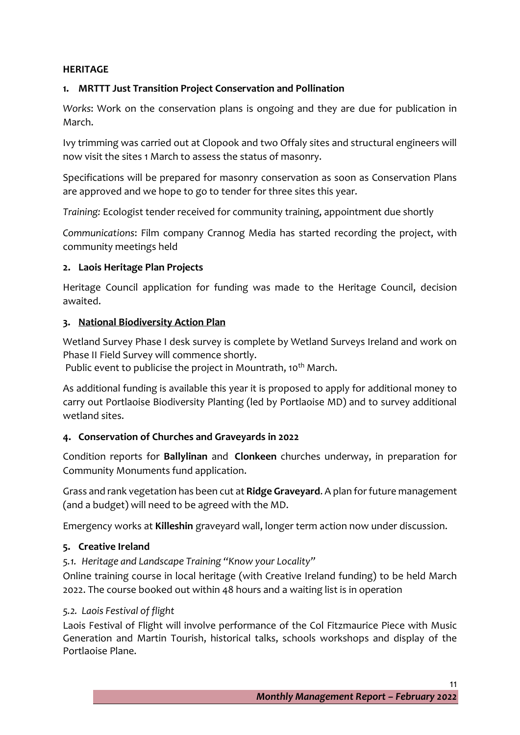# **HERITAGE**

# **1. MRTTT Just Transition Project Conservation and Pollination**

*Works*: Work on the conservation plans is ongoing and they are due for publication in March.

Ivy trimming was carried out at Clopook and two Offaly sites and structural engineers will now visit the sites 1 March to assess the status of masonry.

Specifications will be prepared for masonry conservation as soon as Conservation Plans are approved and we hope to go to tender for three sites this year.

*Training:* Ecologist tender received for community training, appointment due shortly

*Communications*: Film company Crannog Media has started recording the project, with community meetings held

# **2. Laois Heritage Plan Projects**

Heritage Council application for funding was made to the Heritage Council, decision awaited.

# **3. [National Biodiversity Action Plan](https://www.gov.ie/en/press-release/6c8f3-minister-malcolm-noonan-announces-135-million-for-local-authority-biodiversity-projects-on-world-wildlife-day/)**

Wetland Survey Phase I desk survey is complete by Wetland Surveys Ireland and work on Phase II Field Survey will commence shortly.

Public event to publicise the project in Mountrath, 10<sup>th</sup> March.

As additional funding is available this year it is proposed to apply for additional money to carry out Portlaoise Biodiversity Planting (led by Portlaoise MD) and to survey additional wetland sites.

# **4. Conservation of Churches and Graveyards in 2022**

Condition reports for **Ballylinan** and **Clonkeen** churches underway, in preparation for Community Monuments fund application.

Grass and rank vegetation has been cut at **Ridge Graveyard**. A plan for future management (and a budget) will need to be agreed with the MD.

Emergency works at **Killeshin** graveyard wall, longer term action now under discussion.

#### **5. Creative Ireland**

*5.1. Heritage and Landscape Training "Know your Locality"* 

Online training course in local heritage (with Creative Ireland funding) to be held March 2022. The course booked out within 48 hours and a waiting list is in operation

#### *5.2. Laois Festival of flight*

Laois Festival of Flight will involve performance of the Col Fitzmaurice Piece with Music Generation and Martin Tourish, historical talks, schools workshops and display of the Portlaoise Plane.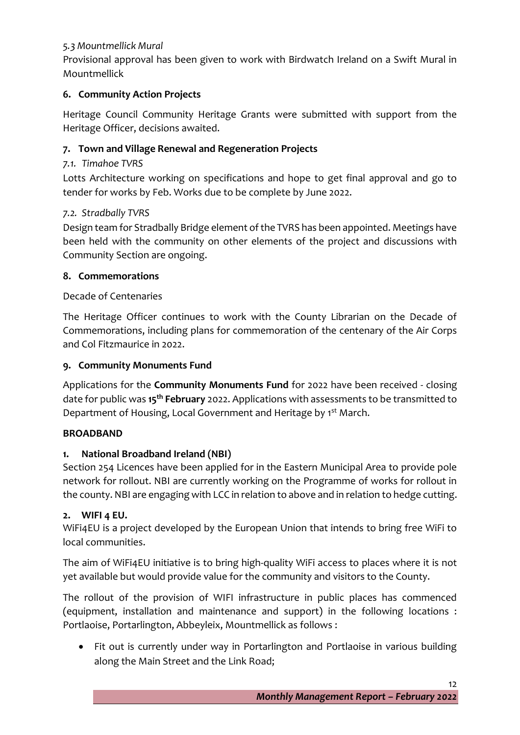# *5.3 Mountmellick Mural*

Provisional approval has been given to work with Birdwatch Ireland on a Swift Mural in Mountmellick

# **6. Community Action Projects**

Heritage Council Community Heritage Grants were submitted with support from the Heritage Officer, decisions awaited.

# **7. Town and Village Renewal and Regeneration Projects**

# *7.1. Timahoe TVRS*

Lotts Architecture working on specifications and hope to get final approval and go to tender for works by Feb. Works due to be complete by June 2022.

# *7.2. Stradbally TVRS*

Design team for Stradbally Bridge element of the TVRS has been appointed. Meetings have been held with the community on other elements of the project and discussions with Community Section are ongoing.

# **8. Commemorations**

# Decade of Centenaries

The Heritage Officer continues to work with the County Librarian on the Decade of Commemorations, including plans for commemoration of the centenary of the Air Corps and Col Fitzmaurice in 2022.

# **9. Community Monuments Fund**

Applications for the **Community Monuments Fund** for 2022 have been received - closing date for public was **15th February** 2022. Applications with assessments to be transmitted to Department of Housing, Local Government and Heritage by 1<sup>st</sup> March.

# **BROADBAND**

# **1. National Broadband Ireland (NBI)**

Section 254 Licences have been applied for in the Eastern Municipal Area to provide pole network for rollout. NBI are currently working on the Programme of works for rollout in the county. NBI are engaging with LCC in relation to above and in relation to hedge cutting.

# **2. WIFI 4 EU.**

WiFi4EU is a project developed by the European Union that intends to bring free WiFi to local communities.

The aim of WiFi4EU initiative is to bring high-quality WiFi access to places where it is not yet available but would provide value for the community and visitors to the County.

The rollout of the provision of WIFI infrastructure in public places has commenced (equipment, installation and maintenance and support) in the following locations : Portlaoise, Portarlington, Abbeyleix, Mountmellick as follows :

• Fit out is currently under way in Portarlington and Portlaoise in various building along the Main Street and the Link Road;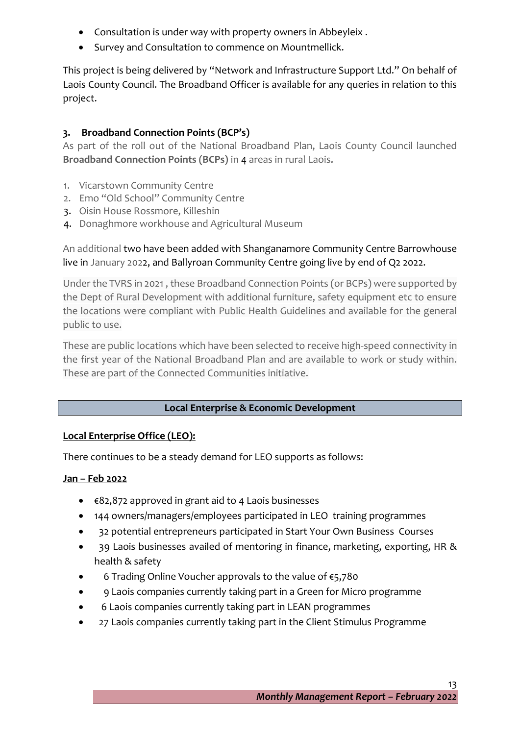- Consultation is under way with property owners in Abbeyleix .
- Survey and Consultation to commence on Mountmellick.

This project is being delivered by "Network and Infrastructure Support Ltd." On behalf of Laois County Council. The Broadband Officer is available for any queries in relation to this project.

# **3. Broadband Connection Points (BCP's)**

As part of the roll out of the National Broadband Plan, Laois County Council launched **Broadband Connection Points (BCPs)** in 4 areas in rural Laois.

- 1. Vicarstown Community Centre
- 2. Emo "Old School" Community Centre
- 3. Oisin House Rossmore, Killeshin
- 4. Donaghmore workhouse and Agricultural Museum

# An additional two have been added with Shanganamore Community Centre Barrowhouse live in January 2022, and Ballyroan Community Centre going live by end of Q2 2022.

Under the TVRS in 2021 , these Broadband Connection Points (or BCPs) were supported by the Dept of Rural Development with additional furniture, safety equipment etc to ensure the locations were compliant with Public Health Guidelines and available for the general public to use.

These are public locations which have been selected to receive high-speed connectivity in the first year of the National Broadband Plan and are available to work or study within. These are part of the Connected Communities initiative.

# **Local Enterprise & Economic Development**

# **Local Enterprise Office (LEO):**

There continues to be a steady demand for LEO supports as follows:

# **Jan – Feb 2022**

- €82,872 approved in grant aid to 4 Laois businesses
- 144 owners/managers/employees participated in LEO training programmes
- 32 potential entrepreneurs participated in Start Your Own Business Courses
- 39 Laois businesses availed of mentoring in finance, marketing, exporting, HR & health & safety
- 6 Trading Online Voucher approvals to the value of €5,780
- 9 Laois companies currently taking part in a Green for Micro programme
- 6 Laois companies currently taking part in LEAN programmes
- 27 Laois companies currently taking part in the Client Stimulus Programme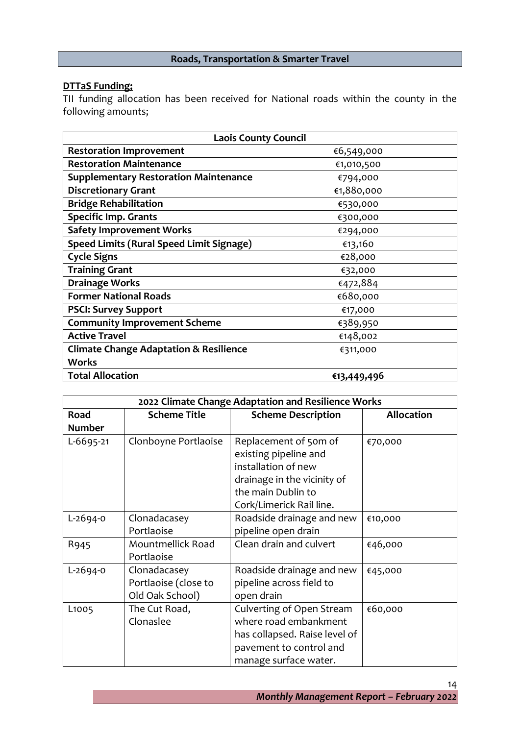# **Roads, Transportation & Smarter Travel**

# **DTTaS Funding;**

TII funding allocation has been received for National roads within the county in the following amounts;

| <b>Laois County Council</b>                       |             |  |  |  |
|---------------------------------------------------|-------------|--|--|--|
| <b>Restoration Improvement</b>                    | €6,549,000  |  |  |  |
| <b>Restoration Maintenance</b>                    | €1,010,500  |  |  |  |
| <b>Supplementary Restoration Maintenance</b>      | €794,000    |  |  |  |
| <b>Discretionary Grant</b>                        | €1,880,000  |  |  |  |
| <b>Bridge Rehabilitation</b>                      | €530,000    |  |  |  |
| <b>Specific Imp. Grants</b>                       | €300,000    |  |  |  |
| <b>Safety Improvement Works</b>                   | €294,000    |  |  |  |
| <b>Speed Limits (Rural Speed Limit Signage)</b>   | €13,160     |  |  |  |
| <b>Cycle Signs</b>                                | €28,000     |  |  |  |
| <b>Training Grant</b>                             | €32,000     |  |  |  |
| <b>Drainage Works</b>                             | €472,884    |  |  |  |
| <b>Former National Roads</b>                      | €680,000    |  |  |  |
| <b>PSCI: Survey Support</b>                       | €17,000     |  |  |  |
| <b>Community Improvement Scheme</b>               | €389,950    |  |  |  |
| <b>Active Travel</b>                              | €148,002    |  |  |  |
| <b>Climate Change Adaptation &amp; Resilience</b> | €311,000    |  |  |  |
| <b>Works</b>                                      |             |  |  |  |
| <b>Total Allocation</b>                           | €13,449,496 |  |  |  |

|                   | 2022 Climate Change Adaptation and Resilience Works |                                                |                   |  |  |  |
|-------------------|-----------------------------------------------------|------------------------------------------------|-------------------|--|--|--|
| Road              | <b>Scheme Title</b>                                 | <b>Scheme Description</b>                      | <b>Allocation</b> |  |  |  |
| <b>Number</b>     |                                                     |                                                |                   |  |  |  |
| L-6695-21         | Clonboyne Portlaoise                                | Replacement of 50m of<br>existing pipeline and | €70,000           |  |  |  |
|                   |                                                     | installation of new                            |                   |  |  |  |
|                   |                                                     | drainage in the vicinity of                    |                   |  |  |  |
|                   |                                                     | the main Dublin to                             |                   |  |  |  |
|                   |                                                     | Cork/Limerick Rail line.                       |                   |  |  |  |
| L-2694-0          | Clonadacasey                                        | Roadside drainage and new                      | €10,000           |  |  |  |
|                   | Portlaoise                                          | pipeline open drain                            |                   |  |  |  |
| R945              | Mountmellick Road                                   | Clean drain and culvert                        | €46,000           |  |  |  |
|                   | Portlaoise                                          |                                                |                   |  |  |  |
| L-2694-0          | Clonadacasey                                        | Roadside drainage and new                      | €45,000           |  |  |  |
|                   | Portlaoise (close to                                | pipeline across field to                       |                   |  |  |  |
|                   | Old Oak School)                                     | open drain                                     |                   |  |  |  |
| L <sub>1005</sub> | The Cut Road,                                       | Culverting of Open Stream                      | €60,000           |  |  |  |
|                   | Clonaslee                                           | where road embankment                          |                   |  |  |  |
|                   |                                                     | has collapsed. Raise level of                  |                   |  |  |  |
|                   |                                                     | pavement to control and                        |                   |  |  |  |
|                   |                                                     | manage surface water.                          |                   |  |  |  |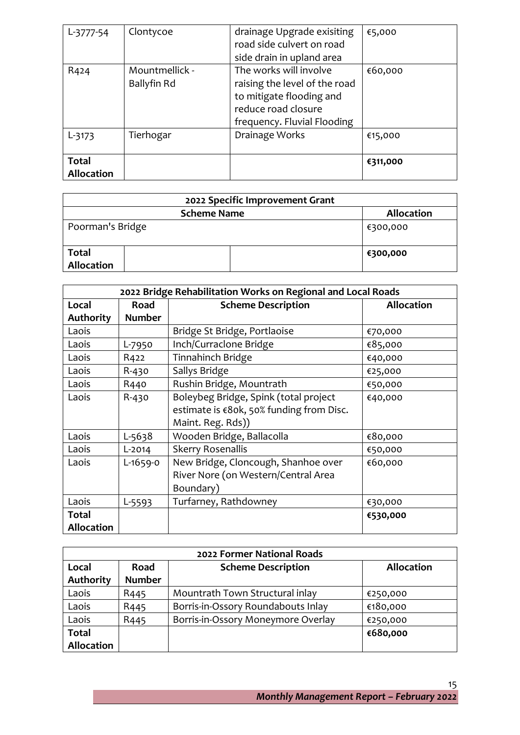| $L-3777-54$                       | Clontycoe                     | drainage Upgrade exisiting<br>road side culvert on road<br>side drain in upland area                                                      | €5,000   |
|-----------------------------------|-------------------------------|-------------------------------------------------------------------------------------------------------------------------------------------|----------|
| R424                              | Mountmellick -<br>Ballyfin Rd | The works will involve<br>raising the level of the road<br>to mitigate flooding and<br>reduce road closure<br>frequency. Fluvial Flooding | €60,000  |
| $L-3173$                          | Tierhogar                     | Drainage Works                                                                                                                            | €15,000  |
| <b>Total</b><br><b>Allocation</b> |                               |                                                                                                                                           | €311,000 |

| 2022 Specific Improvement Grant |                   |  |  |  |  |
|---------------------------------|-------------------|--|--|--|--|
| <b>Scheme Name</b>              | <b>Allocation</b> |  |  |  |  |
| Poorman's Bridge                | €300,000          |  |  |  |  |
| <b>Total</b><br>Allocation      | €300,000          |  |  |  |  |

| 2022 Bridge Rehabilitation Works on Regional and Local Roads |               |                                                                                                        |                   |  |
|--------------------------------------------------------------|---------------|--------------------------------------------------------------------------------------------------------|-------------------|--|
| Local                                                        | Road          | <b>Scheme Description</b>                                                                              | <b>Allocation</b> |  |
| <b>Authority</b>                                             | <b>Number</b> |                                                                                                        |                   |  |
| Laois                                                        |               | Bridge St Bridge, Portlaoise                                                                           | €70,000           |  |
| Laois                                                        | L-7950        | Inch/Curraclone Bridge                                                                                 | €85,000           |  |
| Laois                                                        | R422          | Tinnahinch Bridge                                                                                      | €40,000           |  |
| Laois                                                        | R-430         | Sallys Bridge                                                                                          | €25,000           |  |
| Laois                                                        | R440          | Rushin Bridge, Mountrath                                                                               | €50,000           |  |
| Laois                                                        | R-430         | Boleybeg Bridge, Spink (total project<br>estimate is €80k, 50% funding from Disc.<br>Maint. Reg. Rds)) | €40,000           |  |
| Laois                                                        | L-5638        | Wooden Bridge, Ballacolla                                                                              | €80,000           |  |
| Laois                                                        | L-2014        | <b>Skerry Rosenallis</b>                                                                               | €50,000           |  |
| Laois                                                        | L-1659-0      | New Bridge, Cloncough, Shanhoe over<br>River Nore (on Western/Central Area<br>Boundary)                | €60,000           |  |
| Laois                                                        | L-5593        | Turfarney, Rathdowney                                                                                  | €30,000           |  |
| <b>Total</b><br><b>Allocation</b>                            |               |                                                                                                        | €530,000          |  |

|                   | 2022 Former National Roads |                                    |                   |  |  |  |
|-------------------|----------------------------|------------------------------------|-------------------|--|--|--|
| Local             | Road                       | <b>Scheme Description</b>          | <b>Allocation</b> |  |  |  |
| <b>Authority</b>  | <b>Number</b>              |                                    |                   |  |  |  |
| Laois             | R <sub>445</sub>           | Mountrath Town Structural inlay    | €250,000          |  |  |  |
| Laois             | R <sub>445</sub>           | Borris-in-Ossory Roundabouts Inlay | €180,000          |  |  |  |
| Laois             | R <sub>445</sub>           | Borris-in-Ossory Moneymore Overlay | €250,000          |  |  |  |
| <b>Total</b>      |                            |                                    | €680,000          |  |  |  |
| <b>Allocation</b> |                            |                                    |                   |  |  |  |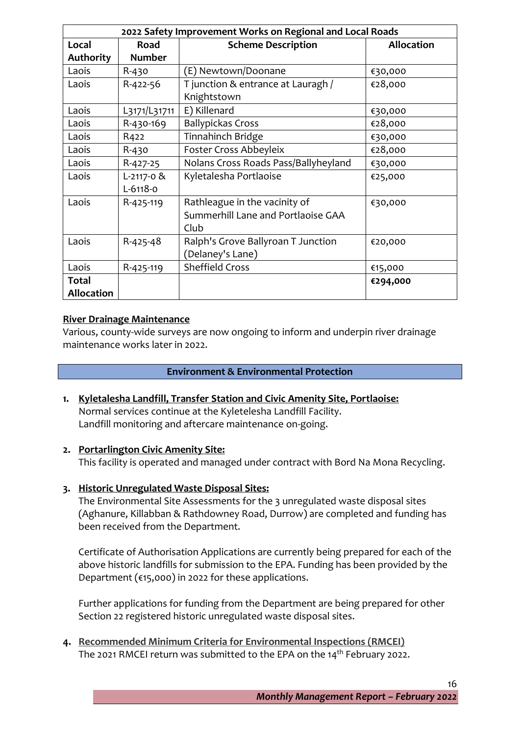|                   | 2022 Safety Improvement Works on Regional and Local Roads |                                      |                   |  |  |
|-------------------|-----------------------------------------------------------|--------------------------------------|-------------------|--|--|
| Local             | Road                                                      | <b>Scheme Description</b>            | <b>Allocation</b> |  |  |
| <b>Authority</b>  | <b>Number</b>                                             |                                      |                   |  |  |
| Laois             | $R - 430$                                                 | (E) Newtown/Doonane                  | €30,000           |  |  |
| Laois             | R-422-56                                                  | T junction & entrance at Lauragh /   | €28,000           |  |  |
|                   |                                                           | Knightstown                          |                   |  |  |
| Laois             | L3171/L31711                                              | E) Killenard                         | €30,000           |  |  |
| Laois             | R-430-169                                                 | <b>Ballypickas Cross</b>             | €28,000           |  |  |
| Laois             | R422                                                      | Tinnahinch Bridge                    | €30,000           |  |  |
| Laois             | R-430                                                     | Foster Cross Abbeyleix               | €28,000           |  |  |
| Laois             | R-427-25                                                  | Nolans Cross Roads Pass/Ballyheyland | €30,000           |  |  |
| Laois             | $L-2117-0$ &                                              | Kyletalesha Portlaoise               | €25,000           |  |  |
|                   | $L-6118-0$                                                |                                      |                   |  |  |
| Laois             | R-425-119                                                 | Rathleague in the vacinity of        | €30,000           |  |  |
|                   |                                                           | Summerhill Lane and Portlaoise GAA   |                   |  |  |
|                   |                                                           | Club                                 |                   |  |  |
| Laois             | R-425-48                                                  | Ralph's Grove Ballyroan T Junction   | €20,000           |  |  |
|                   |                                                           | (Delaney's Lane)                     |                   |  |  |
| Laois             | R-425-119                                                 | <b>Sheffield Cross</b>               | €15,000           |  |  |
| Total             |                                                           |                                      | €294,000          |  |  |
| <b>Allocation</b> |                                                           |                                      |                   |  |  |

#### **River Drainage Maintenance**

Various, county-wide surveys are now ongoing to inform and underpin river drainage maintenance works later in 2022.

#### **Environment & Environmental Protection**

**1. Kyletalesha Landfill, Transfer Station and Civic Amenity Site, Portlaoise:** Normal services continue at the Kyletelesha Landfill Facility. Landfill monitoring and aftercare maintenance on-going.

#### **2. Portarlington Civic Amenity Site:**

This facility is operated and managed under contract with Bord Na Mona Recycling.

**3. Historic Unregulated Waste Disposal Sites:**

The Environmental Site Assessments for the 3 unregulated waste disposal sites (Aghanure, Killabban & Rathdowney Road, Durrow) are completed and funding has been received from the Department.

Certificate of Authorisation Applications are currently being prepared for each of the above historic landfills for submission to the EPA. Funding has been provided by the Department (€15,000) in 2022 for these applications.

Further applications for funding from the Department are being prepared for other Section 22 registered historic unregulated waste disposal sites.

**4. Recommended Minimum Criteria for Environmental Inspections (RMCEI)** The 2021 RMCEI return was submitted to the EPA on the 14<sup>th</sup> February 2022.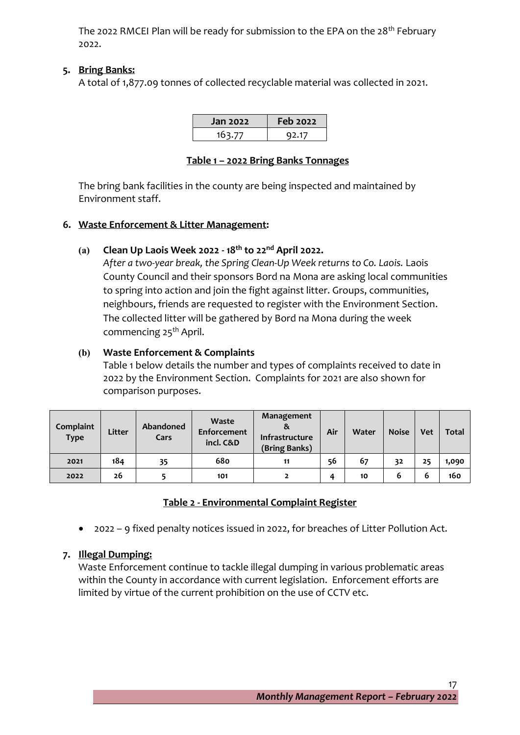The 2022 RMCEI Plan will be ready for submission to the EPA on the 28<sup>th</sup> February 2022.

# **5. Bring Banks:**

A total of 1,877.09 tonnes of collected recyclable material was collected in 2021.

| <b>Jan 2022</b> | <b>Feb 2022</b> |
|-----------------|-----------------|
| 163.77          | 92.17           |

#### **Table 1 – 2022 Bring Banks Tonnages**

The bring bank facilities in the county are being inspected and maintained by Environment staff.

# **6. Waste Enforcement & Litter Management:**

# **(a) Clean Up Laois Week 2022 - 18th to 22nd April 2022.**

*After a two-year break, the Spring Clean-Up Week returns to Co. Laois.* Laois County Council and their sponsors Bord na Mona are asking local communities to spring into action and join the fight against litter. Groups, communities, neighbours, friends are requested to register with the Environment Section. The collected litter will be gathered by Bord na Mona during the week commencing 25th April.

# **(b) Waste Enforcement & Complaints**

Table 1 below details the number and types of complaints received to date in 2022 by the Environment Section. Complaints for 2021 are also shown for comparison purposes.

| Complaint<br><b>Type</b> | Litter | Abandoned<br>Cars | Waste<br>Enforcement<br>incl. C&D | Management<br>ă<br>Infrastructure<br>(Bring Banks) | Air | Water | <b>Noise</b> | <b>Vet</b> | <b>Total</b> |
|--------------------------|--------|-------------------|-----------------------------------|----------------------------------------------------|-----|-------|--------------|------------|--------------|
| 2021                     | 184    | 35                | 680                               | 11                                                 | 56  | 67    | 32           | 25         | 1,090        |
| 2022                     | 26     |                   | 101                               |                                                    | 4   | 10    | 6            | 6          | 160          |

# **Table 2 - Environmental Complaint Register**

• 2022 – 9 fixed penalty notices issued in 2022, for breaches of Litter Pollution Act.

# **7. Illegal Dumping:**

Waste Enforcement continue to tackle illegal dumping in various problematic areas within the County in accordance with current legislation. Enforcement efforts are limited by virtue of the current prohibition on the use of CCTV etc.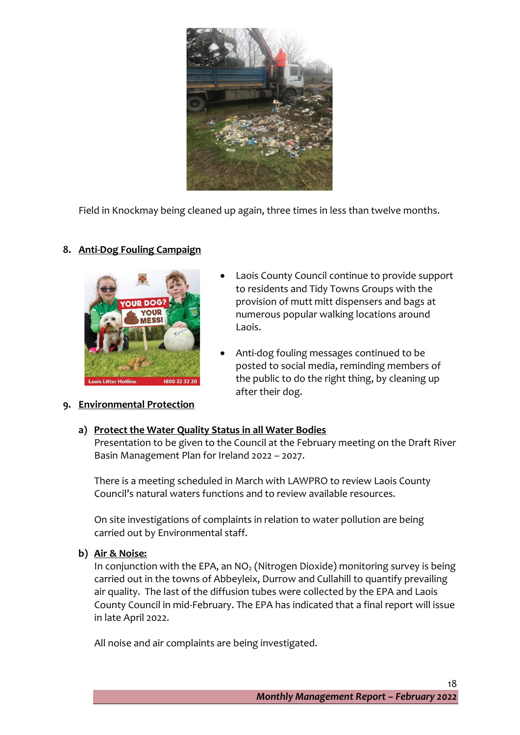

Field in Knockmay being cleaned up again, three times in less than twelve months.

# **8. Anti-Dog Fouling Campaign**



- Laois County Council continue to provide support to residents and Tidy Towns Groups with the provision of mutt mitt dispensers and bags at numerous popular walking locations around Laois.
- Anti-dog fouling messages continued to be posted to social media, reminding members of the public to do the right thing, by cleaning up after their dog.

# **9. Environmental Protection**

# **a) Protect the Water Quality Status in all Water Bodies**

Presentation to be given to the Council at the February meeting on the Draft River Basin Management Plan for Ireland 2022 – 2027.

There is a meeting scheduled in March with LAWPRO to review Laois County Council's natural waters functions and to review available resources.

On site investigations of complaints in relation to water pollution are being carried out by Environmental staff.

**b) Air & Noise:**

In conjunction with the EPA, an  $NO<sub>2</sub>$  (Nitrogen Dioxide) monitoring survey is being carried out in the towns of Abbeyleix, Durrow and Cullahill to quantify prevailing air quality. The last of the diffusion tubes were collected by the EPA and Laois County Council in mid-February. The EPA has indicated that a final report will issue in late April 2022.

All noise and air complaints are being investigated.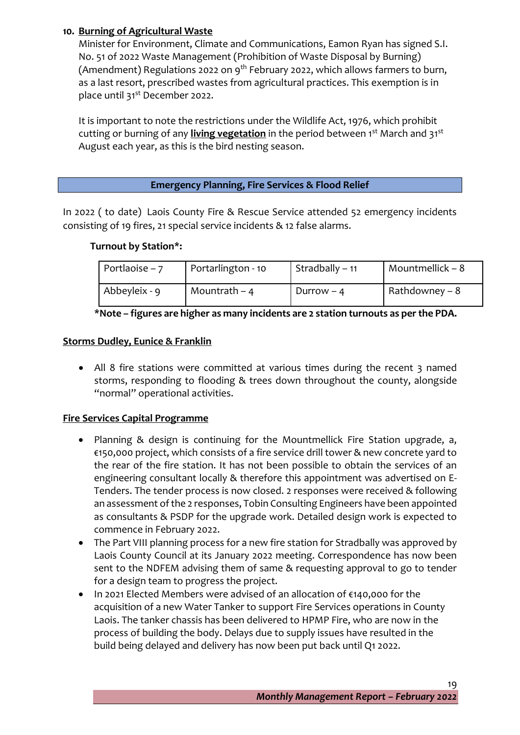# **10. Burning of Agricultural Waste**

Minister for Environment, Climate and Communications, Eamon Ryan has signed S.I. No. 51 of 2022 Waste Management (Prohibition of Waste Disposal by Burning) (Amendment) Regulations 2022 on 9<sup>th</sup> February 2022, which allows farmers to burn, as a last resort, prescribed wastes from agricultural practices. This exemption is in place until 31<sup>st</sup> December 2022.

It is important to note the restrictions under the Wildlife Act, 1976, which prohibit cutting or burning of any **living vegetation** in the period between 1<sup>st</sup> March and 31<sup>st</sup> August each year, as this is the bird nesting season.

#### **Emergency Planning, Fire Services & Flood Relief**

In 2022 ( to date) Laois County Fire & Rescue Service attended 52 emergency incidents consisting of 19 fires, 21 special service incidents & 12 false alarms.

#### **Turnout by Station\*:**

| Portlaoise – $7$ | Portarlington - 10 | Stradbally – 11 | Mountmellick $-8$ |
|------------------|--------------------|-----------------|-------------------|
| Abbeyleix - 9    | Mountrath $-4$     | Durrow $-4$     | Rathdowney – 8    |

|  |  |  | *Note - figures are higher as many incidents are 2 station turnouts as per the PDA. |  |
|--|--|--|-------------------------------------------------------------------------------------|--|
|  |  |  |                                                                                     |  |

#### **Storms Dudley, Eunice & Franklin**

• All 8 fire stations were committed at various times during the recent 3 named storms, responding to flooding & trees down throughout the county, alongside "normal" operational activities.

#### **Fire Services Capital Programme**

- Planning & design is continuing for the Mountmellick Fire Station upgrade, a, €150,000 project, which consists of a fire service drill tower & new concrete yard to the rear of the fire station. It has not been possible to obtain the services of an engineering consultant locally & therefore this appointment was advertised on E-Tenders. The tender process is now closed. 2 responses were received & following an assessment of the 2 responses, Tobin Consulting Engineers have been appointed as consultants & PSDP for the upgrade work. Detailed design work is expected to commence in February 2022.
- The Part VIII planning process for a new fire station for Stradbally was approved by Laois County Council at its January 2022 meeting. Correspondence has now been sent to the NDFEM advising them of same & requesting approval to go to tender for a design team to progress the project.
- In 2021 Elected Members were advised of an allocation of €140,000 for the acquisition of a new Water Tanker to support Fire Services operations in County Laois. The tanker chassis has been delivered to HPMP Fire, who are now in the process of building the body. Delays due to supply issues have resulted in the build being delayed and delivery has now been put back until Q1 2022.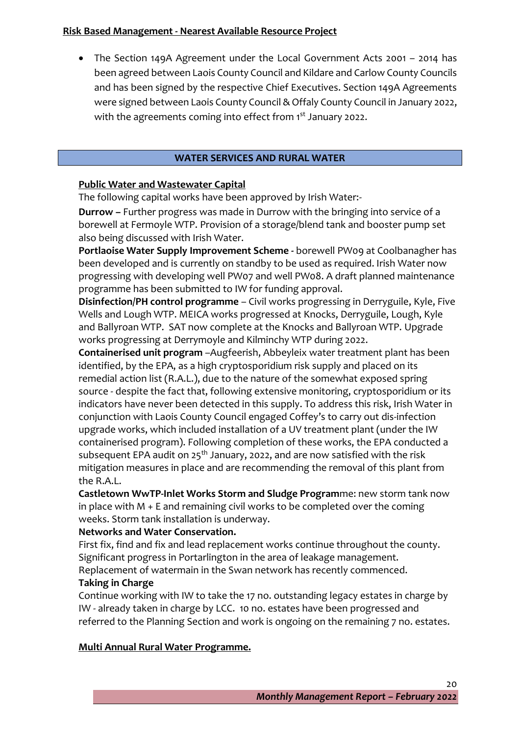#### **Risk Based Management - Nearest Available Resource Project**

• The Section 149A Agreement under the Local Government Acts 2001 – 2014 has been agreed between Laois County Council and Kildare and Carlow County Councils and has been signed by the respective Chief Executives. Section 149A Agreements were signed between Laois County Council & Offaly County Council in January 2022, with the agreements coming into effect from 1st January 2022.

#### **WATER SERVICES AND RURAL WATER**

#### **Public Water and Wastewater Capital**

The following capital works have been approved by Irish Water:-

**Durrow –** Further progress was made in Durrow with the bringing into service of a borewell at Fermoyle WTP. Provision of a storage/blend tank and booster pump set also being discussed with Irish Water.

**Portlaoise Water Supply Improvement Scheme -** borewell PW09 at Coolbanagher has been developed and is currently on standby to be used as required. Irish Water now progressing with developing well PW07 and well PW08. A draft planned maintenance programme has been submitted to IW for funding approval.

**Disinfection/PH control programme** – Civil works progressing in Derryguile, Kyle, Five Wells and Lough WTP. MEICA works progressed at Knocks, Derryguile, Lough, Kyle and Ballyroan WTP. SAT now complete at the Knocks and Ballyroan WTP. Upgrade works progressing at Derrymoyle and Kilminchy WTP during 2022.

**Containerised unit program** –Augfeerish, Abbeyleix water treatment plant has been identified, by the EPA, as a high cryptosporidium risk supply and placed on its remedial action list (R.A.L.), due to the nature of the somewhat exposed spring source - despite the fact that, following extensive monitoring, cryptosporidium or its indicators have never been detected in this supply. To address this risk, Irish Water in conjunction with Laois County Council engaged Coffey's to carry out dis-infection upgrade works, which included installation of a UV treatment plant (under the IW containerised program). Following completion of these works, the EPA conducted a subsequent EPA audit on  $25<sup>th</sup>$  January, 2022, and are now satisfied with the risk mitigation measures in place and are recommending the removal of this plant from the R.A.L.

**Castletown WwTP-Inlet Works Storm and Sludge Program**me: new storm tank now in place with M + E and remaining civil works to be completed over the coming weeks. Storm tank installation is underway.

#### **Networks and Water Conservation.**

First fix, find and fix and lead replacement works continue throughout the county. Significant progress in Portarlington in the area of leakage management. Replacement of watermain in the Swan network has recently commenced.

# **Taking in Charge**

Continue working with IW to take the 17 no. outstanding legacy estates in charge by IW - already taken in charge by LCC. 10 no. estates have been progressed and referred to the Planning Section and work is ongoing on the remaining 7 no. estates.

#### **Multi Annual Rural Water Programme.**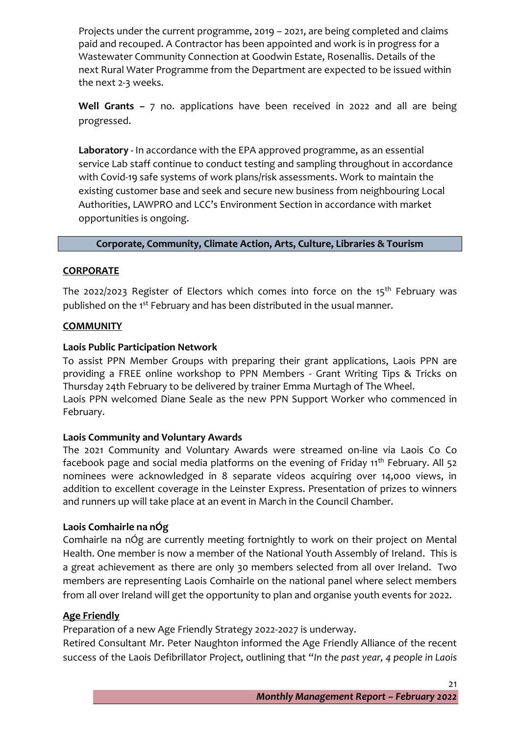Projects under the current programme, 2019 – 2021, are being completed and claims paid and recouped. A Contractor has been appointed and work is in progress for a Wastewater Community Connection at Goodwin Estate, Rosenallis. Details of the next Rural Water Programme from the Department are expected to be issued within the next 2-3 weeks.

**Well Grants –** 7 no. applications have been received in 2022 and all are being progressed.

**Laboratory -** In accordance with the EPA approved programme, as an essential service Lab staff continue to conduct testing and sampling throughout in accordance with Covid-19 safe systems of work plans/risk assessments. Work to maintain the existing customer base and seek and secure new business from neighbouring Local Authorities, LAWPRO and LCC's Environment Section in accordance with market opportunities is ongoing.

# **Corporate, Community, Climate Action, Arts, Culture, Libraries & Tourism**

#### **CORPORATE**

The 2022/2023 Register of Electors which comes into force on the  $15<sup>th</sup>$  February was published on the 1<sup>st</sup> February and has been distributed in the usual manner.

# **COMMUNITY**

# **Laois Public Participation Network**

To assist PPN Member Groups with preparing their grant applications, Laois PPN are providing a FREE online workshop to PPN Members - Grant Writing Tips & Tricks on Thursday 24th February to be delivered by trainer Emma Murtagh of The Wheel. Laois PPN welcomed Diane Seale as the new PPN Support Worker who commenced in February.

#### **Laois Community and Voluntary Awards**

The 2021 Community and Voluntary Awards were streamed on-line via Laois Co Co facebook page and social media platforms on the evening of Friday 11<sup>th</sup> February. All 52 nominees were acknowledged in 8 separate videos acquiring over 14,000 views, in addition to excellent coverage in the Leinster Express. Presentation of prizes to winners and runners up will take place at an event in March in the Council Chamber.

# **Laois Comhairle na nÓg**

Comhairle na nÓg are currently meeting fortnightly to work on their project on Mental Health. One member is now a member of the National Youth Assembly of Ireland. This is a great achievement as there are only 30 members selected from all over Ireland. Two members are representing Laois Comhairle on the national panel where select members from all over Ireland will get the opportunity to plan and organise youth events for 2022.

#### **Age Friendly**

Preparation of a new Age Friendly Strategy 2022-2027 is underway.

Retired Consultant Mr. Peter Naughton informed the Age Friendly Alliance of the recent success of the Laois Defibrillator Project, outlining that "*In the past year, 4 people in Laois*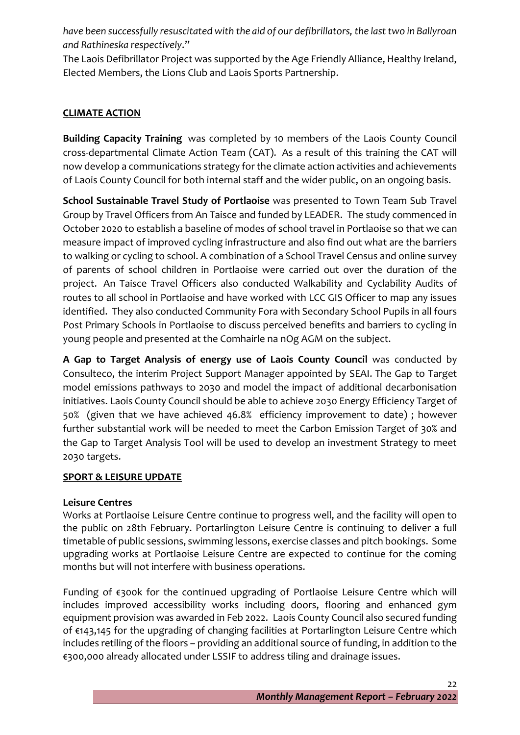*have been successfully resuscitated with the aid of our defibrillators, the last two in Ballyroan and Rathineska respectively*."

The Laois Defibrillator Project was supported by the Age Friendly Alliance, Healthy Ireland, Elected Members, the Lions Club and Laois Sports Partnership.

# **CLIMATE ACTION**

**Building Capacity Training** was completed by 10 members of the Laois County Council cross-departmental Climate Action Team (CAT). As a result of this training the CAT will now develop a communications strategy for the climate action activities and achievements of Laois County Council for both internal staff and the wider public, on an ongoing basis.

**School Sustainable Travel Study of Portlaoise** was presented to Town Team Sub Travel Group by Travel Officers from An Taisce and funded by LEADER. The study commenced in October 2020 to establish a baseline of modes of school travel in Portlaoise so that we can measure impact of improved cycling infrastructure and also find out what are the barriers to walking or cycling to school. A combination of a School Travel Census and online survey of parents of school children in Portlaoise were carried out over the duration of the project. An Taisce Travel Officers also conducted Walkability and Cyclability Audits of routes to all school in Portlaoise and have worked with LCC GIS Officer to map any issues identified. They also conducted Community Fora with Secondary School Pupils in all fours Post Primary Schools in Portlaoise to discuss perceived benefits and barriers to cycling in young people and presented at the Comhairle na nOg AGM on the subject.

**A Gap to Target Analysis of energy use of Laois County Council** was conducted by Consulteco, the interim Project Support Manager appointed by SEAI. The Gap to Target model emissions pathways to 2030 and model the impact of additional decarbonisation initiatives. Laois County Council should be able to achieve 2030 Energy Efficiency Target of 50% (given that we have achieved 46.8% efficiency improvement to date) ; however further substantial work will be needed to meet the Carbon Emission Target of 30% and the Gap to Target Analysis Tool will be used to develop an investment Strategy to meet 2030 targets.

# **SPORT & LEISURE UPDATE**

#### **Leisure Centres**

Works at Portlaoise Leisure Centre continue to progress well, and the facility will open to the public on 28th February. Portarlington Leisure Centre is continuing to deliver a full timetable of public sessions, swimming lessons, exercise classes and pitch bookings. Some upgrading works at Portlaoise Leisure Centre are expected to continue for the coming months but will not interfere with business operations.

Funding of €300k for the continued upgrading of Portlaoise Leisure Centre which will includes improved accessibility works including doors, flooring and enhanced gym equipment provision was awarded in Feb 2022. Laois County Council also secured funding of €143,145 for the upgrading of changing facilities at Portarlington Leisure Centre which includes retiling of the floors – providing an additional source of funding, in addition to the €300,000 already allocated under LSSIF to address tiling and drainage issues.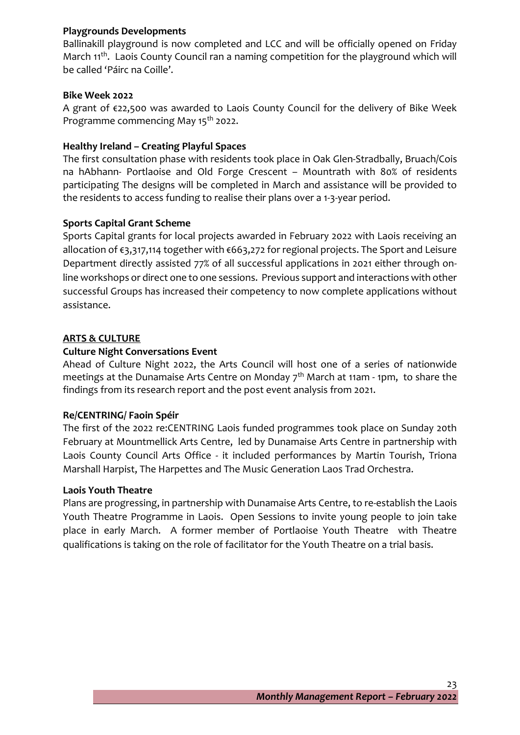#### **Playgrounds Developments**

Ballinakill playground is now completed and LCC and will be officially opened on Friday March 11<sup>th</sup>. Laois County Council ran a naming competition for the playground which will be called 'Páirc na Coille'.

#### **Bike Week 2022**

A grant of €22,500 was awarded to Laois County Council for the delivery of Bike Week Programme commencing May 15<sup>th</sup> 2022.

#### **Healthy Ireland – Creating Playful Spaces**

The first consultation phase with residents took place in Oak Glen-Stradbally, Bruach/Cois na hAbhann- Portlaoise and Old Forge Crescent – Mountrath with 80% of residents participating The designs will be completed in March and assistance will be provided to the residents to access funding to realise their plans over a 1-3-year period.

#### **Sports Capital Grant Scheme**

Sports Capital grants for local projects awarded in February 2022 with Laois receiving an allocation of €3,317,114 together with €663,272 for regional projects. The Sport and Leisure Department directly assisted 77% of all successful applications in 2021 either through online workshops or direct one to one sessions. Previous support and interactions with other successful Groups has increased their competency to now complete applications without assistance.

#### **ARTS & CULTURE**

#### **Culture Night Conversations Event**

Ahead of Culture Night 2022, the Arts Council will host one of a series of nationwide meetings at the Dunamaise Arts Centre on Monday  $7<sup>th</sup>$  March at 11am - 1pm, to share the findings from its research report and the post event analysis from 2021.

#### **Re/CENTRING/ Faoin Spéir**

The first of the 2022 re:CENTRING Laois funded programmes took place on Sunday 20th February at Mountmellick Arts Centre, led by Dunamaise Arts Centre in partnership with Laois County Council Arts Office - it included performances by Martin Tourish, Triona Marshall Harpist, The Harpettes and The Music Generation Laos Trad Orchestra.

#### **Laois Youth Theatre**

Plans are progressing, in partnership with Dunamaise Arts Centre, to re-establish the Laois Youth Theatre Programme in Laois. Open Sessions to invite young people to join take place in early March. A former member of Portlaoise Youth Theatre with Theatre qualifications is taking on the role of facilitator for the Youth Theatre on a trial basis.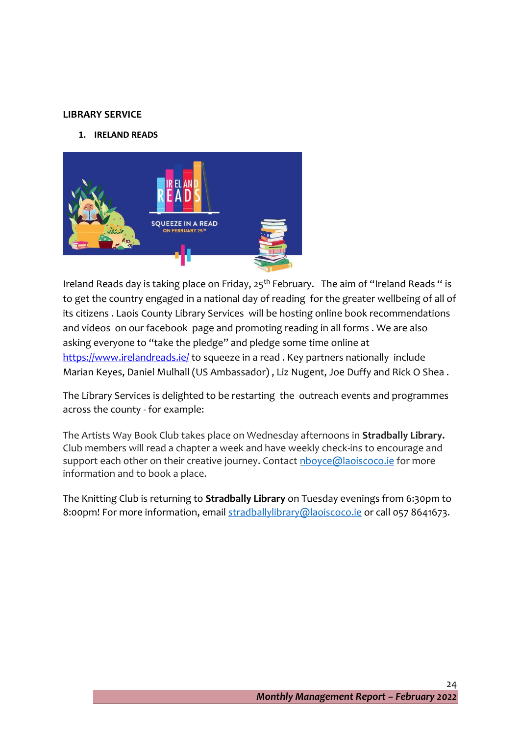#### **LIBRARY SERVICE**

**1. IRELAND READS**



Ireland Reads day is taking place on Friday,  $25<sup>th</sup>$  February. The aim of "Ireland Reads " is to get the country engaged in a national day of reading for the greater wellbeing of all of its citizens . Laois County Library Services will be hosting online book recommendations and videos on our facebook page and promoting reading in all forms . We are also asking everyone to "take the pledge" and pledge some time online at <https://www.irelandreads.ie/> to squeeze in a read . Key partners nationally include Marian Keyes, Daniel Mulhall (US Ambassador) , Liz Nugent, Joe Duffy and Rick O Shea .

The Library Services is delighted to be restarting the outreach events and programmes across the county - for example:

The Artists Way Book Club takes place on Wednesday afternoons in **Stradbally Library.**  Club members will read a chapter a week and have weekly check-ins to encourage and support each other on their creative journey. Contact **nboyce@laoiscoco.ie** for more information and to book a place.

The Knitting Club is returning to **Stradbally Library** on Tuesday evenings from 6:30pm to 8:00pm! For more information, email [stradballylibrary@laoiscoco.ie](mailto:stradballylibrary@laoiscoco.ie) or call 057 8641673.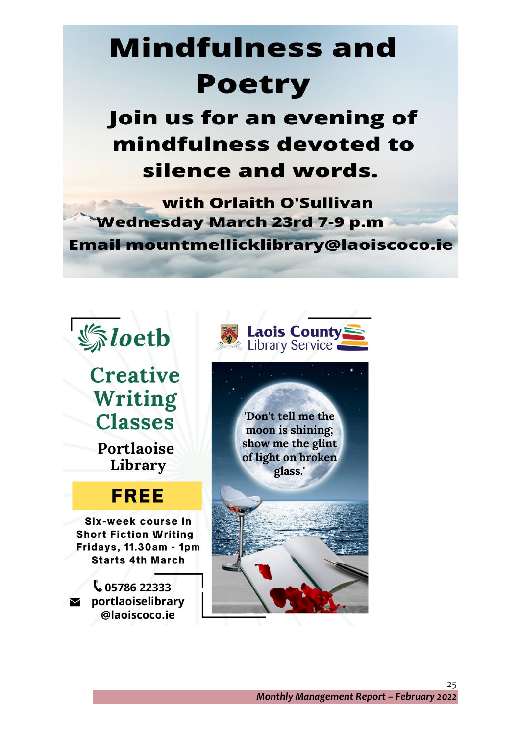# **Mindfulness and Poetry**

Join us for an evening of mindfulness devoted to silence and words.

with Orlaith O'Sullivan **Wednesday March 23rd 7-9 p.m** Email mountmellicklibrary@laoiscoco.ie